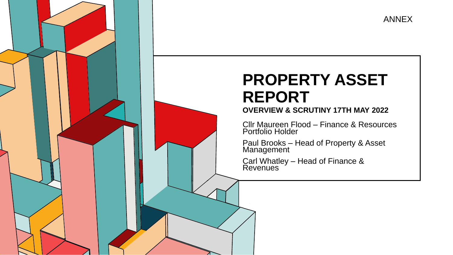

## **PROPERTY ASSET REPORT**

## 6.53 **OVERVIEW & SCRUTINY 17TH MAY 2022**

Cllr Maureen Flood – Finance & Resources Portfolio Holder

Paul Brooks – Head of Property & Asset Management

Carl Whatley – Head of Finance & Revenues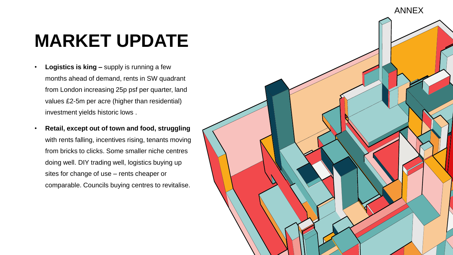## **MARKET UPDATE**

- **Logistics is king –** supply is running a few months ahead of demand, rents in SW quadrant from London increasing 25p psf per quarter, land values £2-5m per acre (higher than residential) investment yields historic lows .
- **Retail, except out of town and food, struggling**  with rents falling, incentives rising, tenants moving from bricks to clicks. Some smaller niche centres doing well. DIY trading well, logistics buying up sites for change of use – rents cheaper or comparable. Councils buying centres to revitalise.

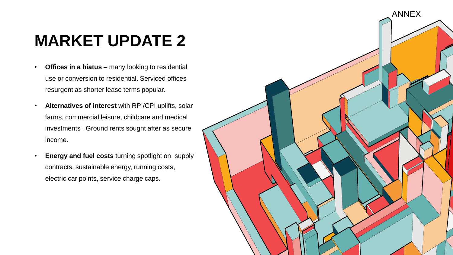## **MARKET UPDATE 2**

- **Offices in a hiatus**  many looking to residential use or conversion to residential. Serviced offices resurgent as shorter lease terms popular.
- **Alternatives of interest** with RPI/CPI uplifts, solar farms, commercial leisure, childcare and medical investments . Ground rents sought after as secure income.
- **Energy and fuel costs** turning spotlight on supply contracts, sustainable energy, running costs, electric car points, service charge caps.

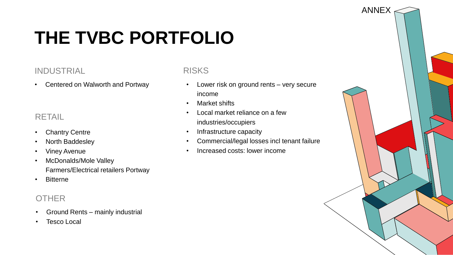# **THE TVBC PORTFOLIO**

### INDUSTRIAL

• Centered on Walworth and Portway

## RETAIL

- Chantry Centre
- North Baddesley
- Viney Avenue
- McDonalds/Mole Valley Farmers/Electrical retailers Portway
- Bitterne

## **OTHER**

- Ground Rents mainly industrial
- **Tesco Local**

### RISKS

• Lower risk on ground rents – very secure income

ANNEX

- Market shifts
- Local market reliance on a few industries/occupiers
- Infrastructure capacity
- Commercial/legal losses incl tenant failure
- Increased costs: lower income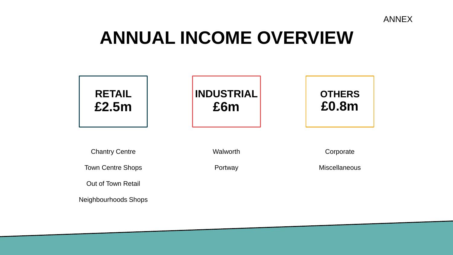

## **ANNUAL INCOME OVERVIEW**



Neighbourhoods Shops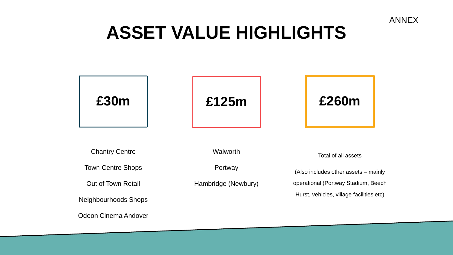

## **ASSET VALUE HIGHLIGHTS**

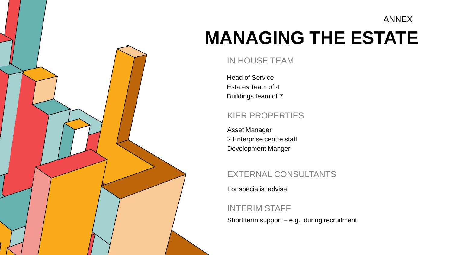#### ANNEX

# **MANAGING THE ESTATE**

### IN HOUSE TEAM

Head of Service Estates Team of 4 Buildings team of 7

### KIER PROPERTIES

Asset Manager 2 Enterprise centre staff Development Manger

## EXTERNAL CONSULTANTS

For specialist advise

## INTERIM STAFF

Short term support – e.g., during recruitment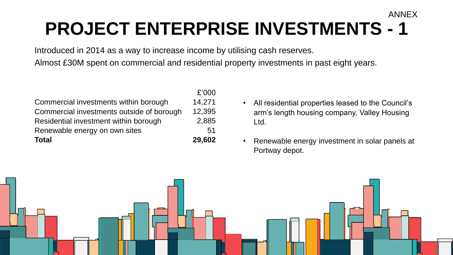## **PROJECT ENTERPRISE INVESTMENTS - 1** ANNEX

Introduced in 2014 as a way to increase income by utilising cash reserves.

Almost £30M spent on commercial and residential property investments in past eight years.

| <b>Total</b>                              | 29,602 |
|-------------------------------------------|--------|
| Renewable energy on own sites             | 51     |
| Residential investment within borough     | 2,885  |
| Commercial investments outside of borough | 12,395 |
| Commercial investments within borough     | 14,271 |
|                                           | £'000  |

- All residential properties leased to the Council's arm's length housing company, Valley Housing Ltd.
- Renewable energy investment in solar panels at Portway depot.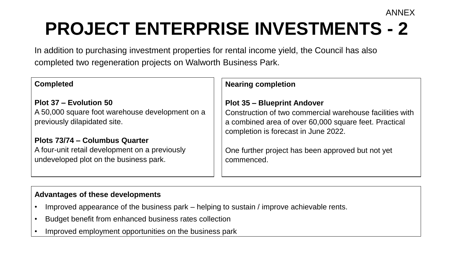# **PROJECT ENTERPRISE INVESTMENTS - 2**

ANNEX

In addition to purchasing investment properties for rental income yield, the Council has also completed two regeneration projects on Walworth Business Park.

| <b>Completed</b>                                                                                                           | <b>Nearing completion</b>                                                                                                                                                                       |
|----------------------------------------------------------------------------------------------------------------------------|-------------------------------------------------------------------------------------------------------------------------------------------------------------------------------------------------|
| <b>Plot 37 – Evolution 50</b><br>A 50,000 square foot warehouse development on a<br>previously dilapidated site.           | <b>Plot 35 - Blueprint Andover</b><br>Construction of two commercial warehouse facilities with<br>a combined area of over 60,000 square feet. Practical<br>completion is forecast in June 2022. |
| Plots 73/74 – Columbus Quarter<br>A four-unit retail development on a previously<br>undeveloped plot on the business park. | One further project has been approved but not yet<br>commenced.                                                                                                                                 |

#### **Advantages of these developments**

- Improved appearance of the business park helping to sustain / improve achievable rents.
- Budget benefit from enhanced business rates collection
- Improved employment opportunities on the business park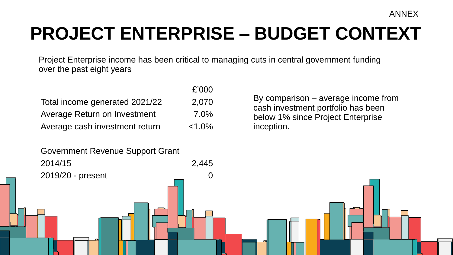ANNEX

# **PROJECT ENTERPRISE – BUDGET CONTEXT**

Project Enterprise income has been critical to managing cuts in central government funding over the past eight years

 $C'$ 

|                                | L UUU     |
|--------------------------------|-----------|
| Total income generated 2021/22 | 2,070     |
| Average Return on Investment   | $7.0\%$   |
| Average cash investment return | $< 1.0\%$ |

By comparison – average income from cash investment portfolio has been below 1% since Project Enterprise inception.

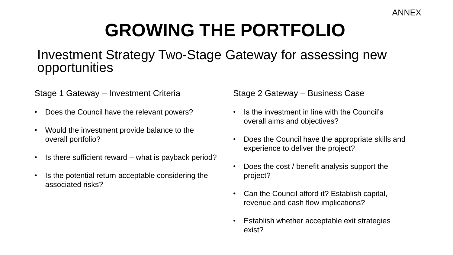# **GROWING THE PORTFOLIO**

## Investment Strategy Two-Stage Gateway for assessing new opportunities

Stage 1 Gateway – Investment Criteria

- Does the Council have the relevant powers?
- Would the investment provide balance to the overall portfolio?
- Is there sufficient reward what is payback period?
- Is the potential return acceptable considering the associated risks?

Stage 2 Gateway – Business Case

- Is the investment in line with the Council's overall aims and objectives?
- Does the Council have the appropriate skills and experience to deliver the project?
- Does the cost / benefit analysis support the project?
- Can the Council afford it? Establish capital, revenue and cash flow implications?
- Establish whether acceptable exit strategies exist?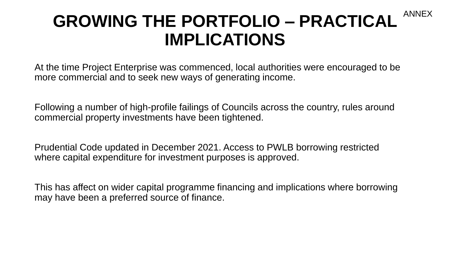## **GROWING THE PORTFOLIO – PRACTICAL IMPLICATIONS** ANNEX

At the time Project Enterprise was commenced, local authorities were encouraged to be more commercial and to seek new ways of generating income.

Following a number of high-profile failings of Councils across the country, rules around commercial property investments have been tightened.

Prudential Code updated in December 2021. Access to PWLB borrowing restricted where capital expenditure for investment purposes is approved.

This has affect on wider capital programme financing and implications where borrowing may have been a preferred source of finance.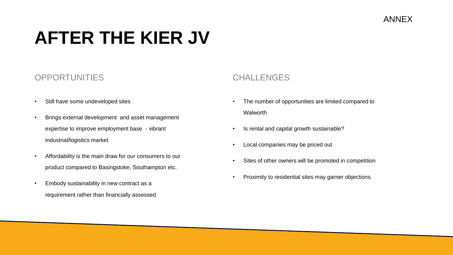## **AFTER THE KIER JV**

### OPPORTUNITIES

- Still have some undeveloped sites
- Brings external development and asset management expertise to improve employment base - vibrant industrial/logistics market
- Affordability is the main draw for our consumers to our product compared to Basingstoke, Southampton etc.
- Embody sustainability in new contract as a requirement rather than financially assessed

### CHALL FNGES

- The number of opportunities are limited compared to **Walworth**
- Is rental and capital growth sustainable?
- Local companies may be priced out
- Sites of other owners will be promoted in competition
- Proximity to residential sites may garner objections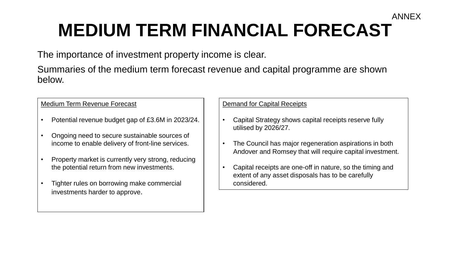## **MEDIUM TERM FINANCIAL FORECAST** ANNEX

The importance of investment property income is clear.

Summaries of the medium term forecast revenue and capital programme are shown below.

#### Medium Term Revenue Forecast

- Potential revenue budget gap of £3.6M in 2023/24.
- Ongoing need to secure sustainable sources of income to enable delivery of front-line services.
- Property market is currently very strong, reducing the potential return from new investments.
- Tighter rules on borrowing make commercial investments harder to approve.

#### Demand for Capital Receipts

- Capital Strategy shows capital receipts reserve fully utilised by 2026/27.
- The Council has major regeneration aspirations in both Andover and Romsey that will require capital investment.
- Capital receipts are one-off in nature, so the timing and extent of any asset disposals has to be carefully considered.